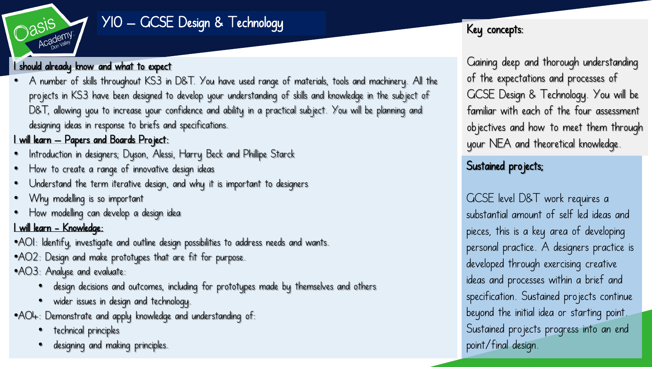

# Y10 – GCSE Design & Technology

#### I should already know and what to expect

• A number of skills throughout KS3 in D&T. You have used range of materials, tools and machinery. All the projects in KS3 have been designed to develop your understanding of skills and knowledge in the subject of D&T, allowing you to increase your confidence and ability in a practical subject. You will be planning and designing ideas in response to briefs and specifications.

#### I will learn – Papers and Boards Project:

- Introduction in designers; Dyson, Alessi, Harry Beck and Phillipe Starck
- How to create a range of innovative design ideas
- Understand the term iterative design, and why it is important to designers
- Why modelling is so important
- How modelling can develop a design idea

#### I will learn - Knowledge:

- •AO1: Identify, investigate and outline design possibilities to address needs and wants.
- •AO2: Design and make prototypes that are fit for purpose.
- •AO3: Analyse and evaluate:
	- design decisions and outcomes, including for prototypes made by themselves and others
	- wider issues in design and technology.
- •AO4: Demonstrate and apply knowledge and understanding of:
	- technical principles
	- designing and making principles.

## Key concepts:

Gaining deep and thorough understanding of the expectations and processes of GCSE Design & Technology. You will be familiar with each of the four assessment objectives and how to meet them through your NEA and theoretical knowledge.

## Sustained projects;

GCSE level D&T work requires a substantial amount of self led ideas and pieces, this is a key area of developing personal practice. A designers practice is developed through exercising creative ideas and processes within a brief and specification. Sustained projects continue beyond the initial idea or starting point. Sustained projects progress into an end point/final design.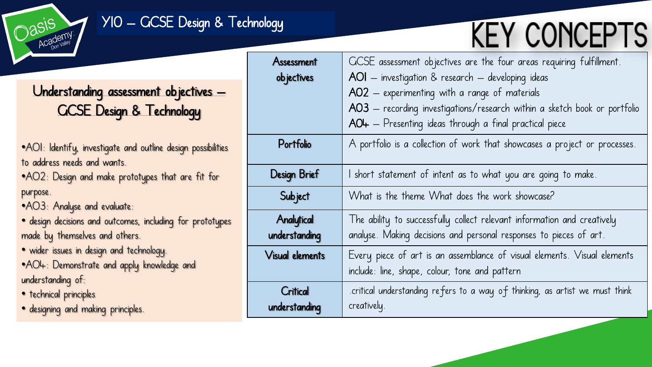

## Y10 – GCSE Design & Technology

# **KEY CONCEPTS**

# Understanding assessment objectives – GCSE Design & Technology

•AO1: Identify, investigate and outline design possibilities to address needs and wants.

•AO2: Design and make prototypes that are fit for purpose.

•AO3: Analyse and evaluate:

• design decisions and outcomes, including for prototypes made by themselves and others.

• wider issues in design and technology.

•AO4: Demonstrate and apply knowledge and understanding of:

- technical principles
- designing and making principles.

| Assessment             | GCSE assessment objectives are the four areas requiring fulfillment.        |
|------------------------|-----------------------------------------------------------------------------|
| objectives             | AOI - investigation & research - developing ideas                           |
|                        | AO2 - experimenting with a range of materials                               |
|                        | AO3 - recording investigations/research within a sketch book or portfolio   |
|                        | $AO+$ – Presenting ideas through a final practical piece                    |
| Portfolio              | A portfolio is a collection of work that showcases a project or processes.  |
| <b>Design Brief</b>    | I short statement of intent as to what you are going to make.               |
| <b>Subject</b>         | What is the theme What does the work showcase?                              |
| Analytical             | The ability to successfully collect relevant information and creatively     |
| understanding          | analyse. Making decisions and personal responses to pieces of art.          |
| <b>Visual elements</b> | Every piece of art is an assemblance of visual elements. Visual elements    |
|                        | include: line, shape, colour, tone and pattern                              |
| Critical               | critical understanding refers to a way of thinking, as artist we must think |
| understanding          | creatively.                                                                 |